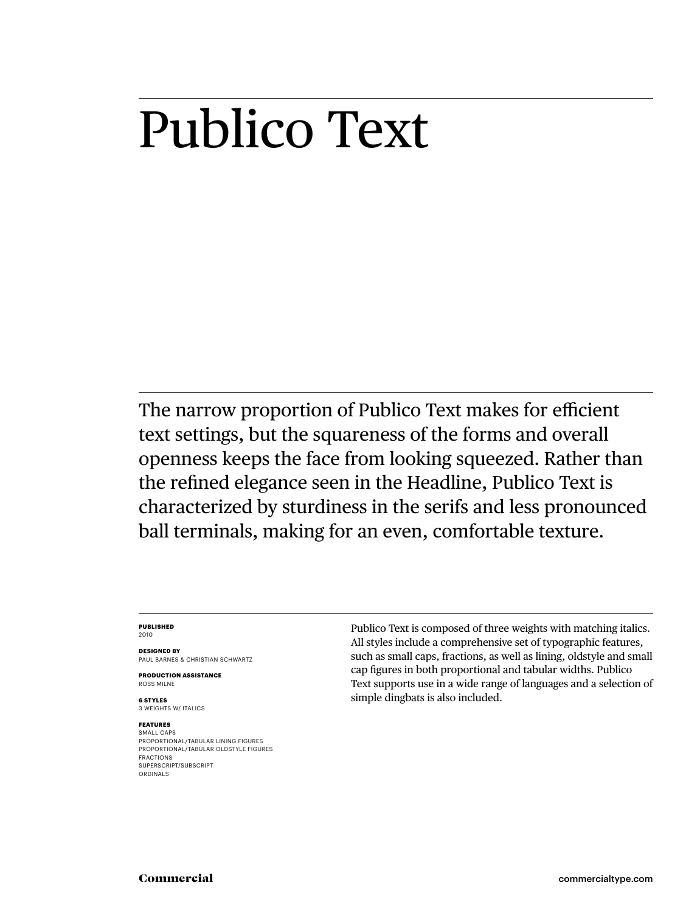# Publico Text

The narrow proportion of Publico Text makes for efficient text settings, but the squareness of the forms and overall openness keeps the face from looking squeezed. Rather than the refined elegance seen in the Headline, Publico Text is characterized by sturdiness in the serifs and less pronounced ball terminals, making for an even, comfortable texture.

#### **PUBLISHED** 2010

**DESIGNED BY** PAUL BARNES & CHRISTIAN SCHWARTZ

**PRODUCTION ASSISTANCE** ROSS MILNE

**6 STYLES** 3 WEIGHTS W/ ITALICS

#### **FEATURES** SMALL CAPS

PROPORTIONAL/TABULAR LINING FIGURES PROPORTIONAL/TABULAR OLDSTYLE FIGURES FRACTIONS SUPERSCRIPT/SUBSCRIPT ORDINALS

Publico Text is composed of three weights with matching italics. All styles include a comprehensive set of typographic features, such as small caps, fractions, as well as lining, oldstyle and small cap figures in both proportional and tabular widths. Publico Text supports use in a wide range of languages and a selection of simple dingbats is also included.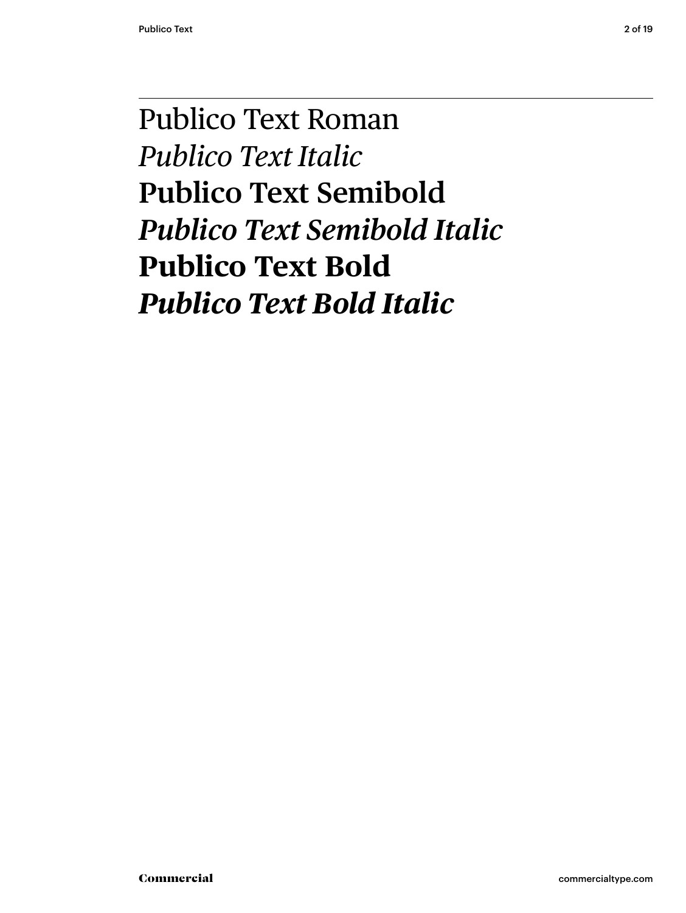# Publico Text Roman *Publico Text Italic* **Publico Text Semibold** *Publico Text Semibold Italic* **Publico Text Bold** *Publico Text Bold Italic*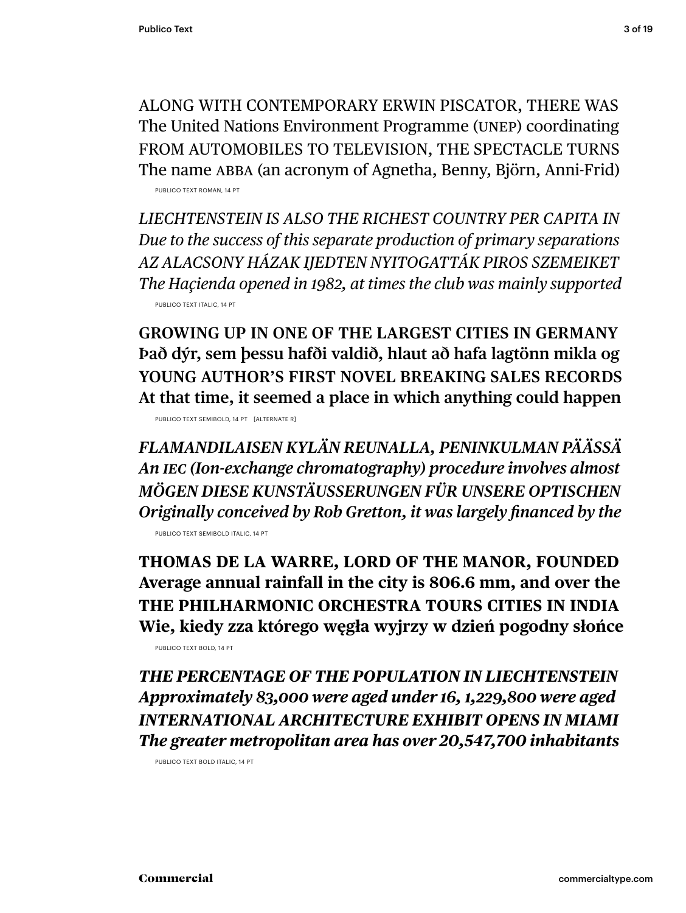ALONG WITH CONTEMPORARY ERWIN PISCATOR, THERE WAS The United Nations Environment Programme (UNEP) coordinating FROM AUTOMOBILES TO TELEVISION, THE SPECTACLE TURNS

The name ABBA (an acronym of Agnetha, Benny, Björn, Anni-Frid) PUBLICO TEXT ROMAN, 14 PT

*LIECHTENSTEIN IS ALSO THE RICHEST COUNTRY PER CAPITA IN Due to the success of this separate production of primary separations AZ ALACSONY HÁZAK IJEDTEN NYITOGATTÁK PIROS SZEMEIKET The Haçienda opened in 1982, at times the club was mainly supported* PUBLICO TEXT ITALIC, 14 PT

**GROWING UP IN ONE OF THE LARGEST CITIES IN GERMANY Það dýr, sem þessu hafði valdið, hlaut að hafa lagtönn mikla og YOUNG AUTHOR'S FIRST NOVEL BREAKING SALES RECORDS At that time, it seemed a place in which anything could happen**

PUBLICO TEXT SEMIBOLD, 14 PT [ALTERNATE R]

*FLAMANDILAISEN KYLÄN REUNALLA, PENINKULMAN PÄÄSSÄ An IEC (Ion-exchange chromatography) procedure involves almost MÖGEN DIESE KUNSTÄUSSERUNGEN FÜR UNSERE OPTISCHEN Originally conceived by Rob Gretton, it was largely financed by the* PUBLICO TEXT SEMIBOLD ITALIC, 14 PT

**THOMAS DE LA WARRE, LORD OF THE MANOR, FOUNDED Average annual rainfall in the city is 806.6 mm, and over the THE PHILHARMONIC ORCHESTRA TOURS CITIES IN INDIA Wie, kiedy zza którego węgła wyjrzy w dzień pogodny słońce**

PUBLICO TEXT BOLD, 14 PT

*THE PERCENTAGE OF THE POPULATION IN LIECHTENSTEIN Approximately 83,000 were aged under 16, 1,229,800 were aged INTERNATIONAL ARCHITECTURE EXHIBIT OPENS IN MIAMI The greater metropolitan area has over 20,547,700 inhabitants*

PUBLICO TEXT BOLD ITALIC, 14 PT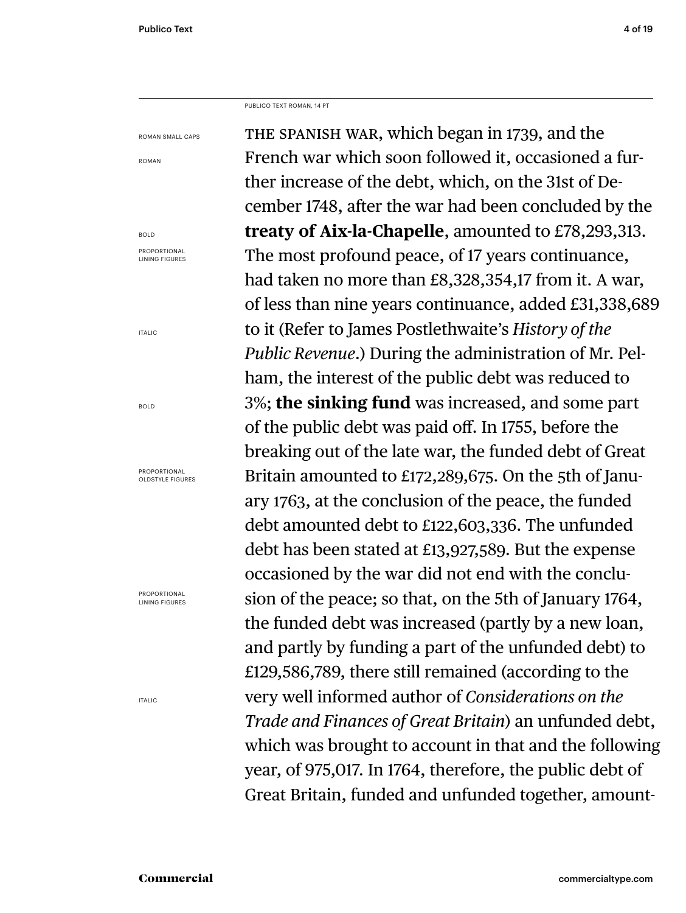PUBLICO TEXT ROMAN, 14 PT

ROMAN SMALL CAPS

ROMAN

BOLD PROPORTIONAL LINING FIGURES

ITALIC

BOLD

PROPORTIONAL OLDSTYLE FIGURES

PROPORTIONAL LINING FIGURES

ITALIC

THE SPANISH WAR, which began in 1739, and the French war which soon followed it, occasioned a further increase of the debt, which, on the 31st of December 1748, after the war had been concluded by the **treaty of Aix-la-Chapelle**, amounted to £78,293,313. The most profound peace, of 17 years continuance, had taken no more than £8,328,354,17 from it. A war, of less than nine years continuance, added £31,338,689 to it (Refer to James Postlethwaite's *History of the Public Revenue*.) During the administration of Mr. Pelham, the interest of the public debt was reduced to 3%; **the sinking fund** was increased, and some part of the public debt was paid off. In 1755, before the breaking out of the late war, the funded debt of Great Britain amounted to £172,289,675. On the 5th of January 1763, at the conclusion of the peace, the funded debt amounted debt to £122,603,336. The unfunded debt has been stated at £13,927,589. But the expense occasioned by the war did not end with the conclusion of the peace; so that, on the 5th of January 1764, the funded debt was increased (partly by a new loan, and partly by funding a part of the unfunded debt) to £129,586,789, there still remained (according to the very well informed author of *Considerations on the Trade and Finances of Great Britain*) an unfunded debt, which was brought to account in that and the following year, of 975,017. In 1764, therefore, the public debt of Great Britain, funded and unfunded together, amount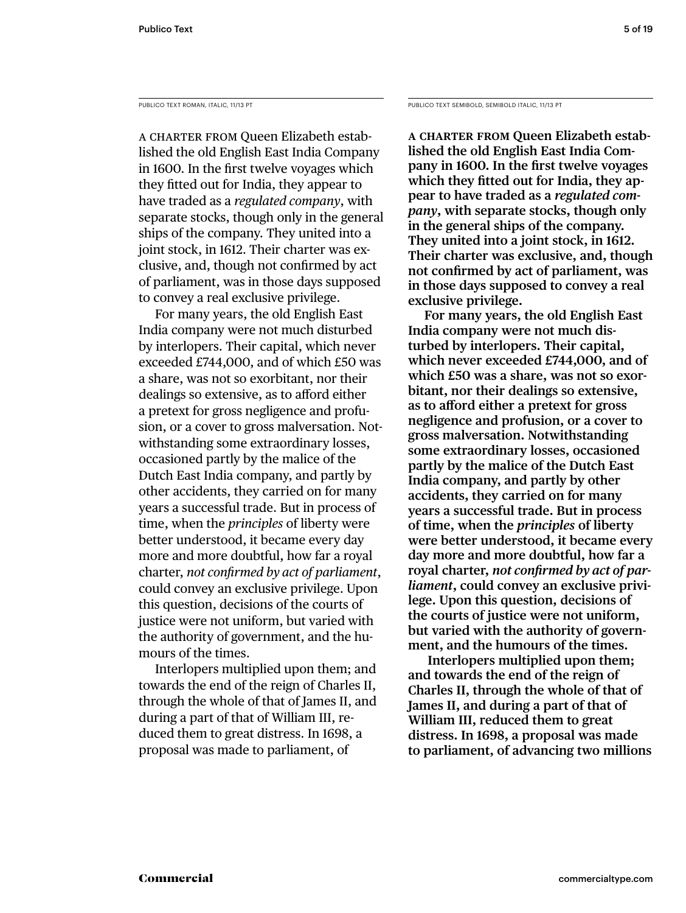PUBLICO TEXT ROMAN, ITALIC, 11/13 PT

A CHARTER FROM Queen Elizabeth established the old English East India Company in 1600. In the first twelve voyages which they fitted out for India, they appear to have traded as a *regulated company*, with separate stocks, though only in the general ships of the company. They united into a joint stock, in 1612. Their charter was exclusive, and, though not confirmed by act of parliament, was in those days supposed to convey a real exclusive privilege.

 For many years, the old English East India company were not much disturbed by interlopers. Their capital, which never exceeded £744,000, and of which £50 was a share, was not so exorbitant, nor their dealings so extensive, as to afford either a pretext for gross negligence and profusion, or a cover to gross malversation. Notwithstanding some extraordinary losses, occasioned partly by the malice of the Dutch East India company, and partly by other accidents, they carried on for many years a successful trade. But in process of time, when the *principles* of liberty were better understood, it became every day more and more doubtful, how far a royal charter, *not confirmed by act of parliament*, could convey an exclusive privilege. Upon this question, decisions of the courts of justice were not uniform, but varied with the authority of government, and the humours of the times.

 Interlopers multiplied upon them; and towards the end of the reign of Charles II, through the whole of that of James II, and during a part of that of William III, reduced them to great distress. In 1698, a proposal was made to parliament, of

PUBLICO TEXT SEMIBOLD, SEMIBOLD ITALIC, 11/13 PT

**A CHARTER FROM Queen Elizabeth established the old English East India Com**pany in 1600. In the first twelve voyages which they fitted out for India, they ap**pear to have traded as a** *regulated company***, with separate stocks, though only in the general ships of the company. They united into a joint stock, in 1612. Their charter was exclusive, and, though**  not confirmed by act of parliament, was **in those days supposed to convey a real exclusive privilege.** 

 **For many years, the old English East India company were not much disturbed by interlopers. Their capital, which never exceeded £744,000, and of which £50 was a share, was not so exorbitant, nor their dealings so extensive,**  as to afford either a pretext for gross **negligence and profusion, or a cover to gross malversation. Notwithstanding some extraordinary losses, occasioned partly by the malice of the Dutch East India company, and partly by other accidents, they carried on for many years a successful trade. But in process of time, when the** *principles* **of liberty were better understood, it became every day more and more doubtful, how far a**  royal charter, *not confirmed by act of parliament***, could convey an exclusive privilege. Upon this question, decisions of the courts of justice were not uniform, but varied with the authority of government, and the humours of the times.**

 **Interlopers multiplied upon them; and towards the end of the reign of Charles II, through the whole of that of James II, and during a part of that of William III, reduced them to great distress. In 1698, a proposal was made to parliament, of advancing two millions**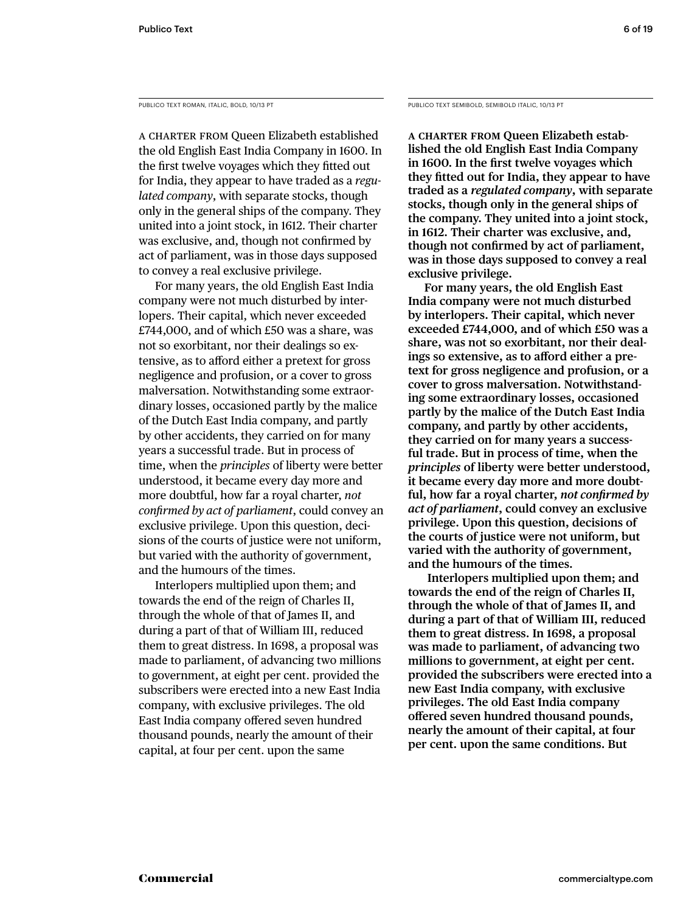PUBLICO TEXT ROMAN, ITALIC, BOLD, 10/13 PT

A CHARTER FROM Queen Elizabeth established the old English East India Company in 1600. In the first twelve voyages which they fitted out for India, they appear to have traded as a *regulated company*, with separate stocks, though only in the general ships of the company. They united into a joint stock, in 1612. Their charter was exclusive, and, though not confirmed by act of parliament, was in those days supposed to convey a real exclusive privilege.

 For many years, the old English East India company were not much disturbed by interlopers. Their capital, which never exceeded £744,000, and of which £50 was a share, was not so exorbitant, nor their dealings so extensive, as to afford either a pretext for gross negligence and profusion, or a cover to gross malversation. Notwithstanding some extraordinary losses, occasioned partly by the malice of the Dutch East India company, and partly by other accidents, they carried on for many years a successful trade. But in process of time, when the *principles* of liberty were better understood, it became every day more and more doubtful, how far a royal charter, *not confi rmed by act of parliament*, could convey an exclusive privilege. Upon this question, decisions of the courts of justice were not uniform, but varied with the authority of government, and the humours of the times.

 Interlopers multiplied upon them; and towards the end of the reign of Charles II, through the whole of that of James II, and during a part of that of William III, reduced them to great distress. In 1698, a proposal was made to parliament, of advancing two millions to government, at eight per cent. provided the subscribers were erected into a new East India company, with exclusive privileges. The old East India company offered seven hundred thousand pounds, nearly the amount of their capital, at four per cent. upon the same

PUBLICO TEXT SEMIBOLD, SEMIBOLD ITALIC, 10/13 PT

**A CHARTER FROM Queen Elizabeth established the old English East India Company**  in 1600. In the first twelve voyages which **they fi tted out for India, they appear to have traded as a** *regulated company***, with separate stocks, though only in the general ships of the company. They united into a joint stock, in 1612. Their charter was exclusive, and, though not confirmed by act of parliament, was in those days supposed to convey a real exclusive privilege.** 

 **For many years, the old English East India company were not much disturbed by interlopers. Their capital, which never exceeded £744,000, and of which £50 was a share, was not so exorbitant, nor their deal**ings so extensive, as to afford either a pre**text for gross negligence and profusion, or a cover to gross malversation. Notwithstanding some extraordinary losses, occasioned partly by the malice of the Dutch East India company, and partly by other accidents, they carried on for many years a successful trade. But in process of time, when the**  *principles* **of liberty were better understood, it became every day more and more doubt**ful, how far a royal charter, *not confirmed by act of parliament***, could convey an exclusive privilege. Upon this question, decisions of the courts of justice were not uniform, but varied with the authority of government, and the humours of the times.**

 **Interlopers multiplied upon them; and towards the end of the reign of Charles II, through the whole of that of James II, and during a part of that of William III, reduced them to great distress. In 1698, a proposal was made to parliament, of advancing two millions to government, at eight per cent. provided the subscribers were erected into a new East India company, with exclusive privileges. The old East India company**  offered seven hundred thousand pounds, **nearly the amount of their capital, at four per cent. upon the same conditions. But**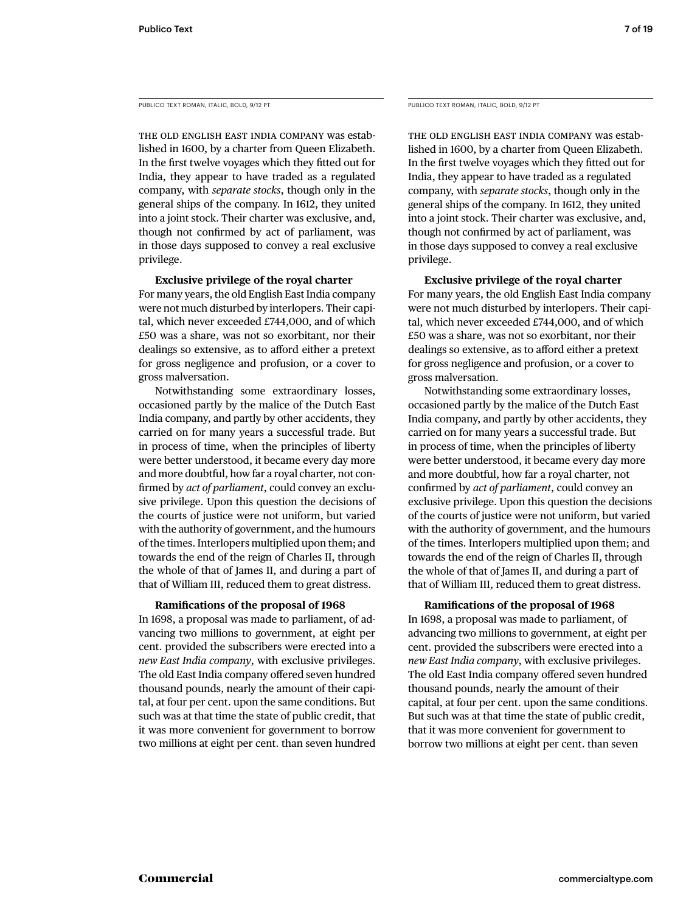PUBLICO TEXT ROMAN, ITALIC, BOLD, 9/12 PT

THE OLD ENGLISH EAST INDIA COMPANY was established in 1600, by a charter from Queen Elizabeth. In the first twelve voyages which they fitted out for India, they appear to have traded as a regulated company, with *separate stocks*, though only in the general ships of the company. In 1612, they united into a joint stock. Their charter was exclusive, and, though not confirmed by act of parliament, was in those days supposed to convey a real exclusive privilege.

# **Exclusive privilege of the royal charter**

For many years, the old English East India company were not much disturbed by interlopers. Their capital, which never exceeded £744,000, and of which £50 was a share, was not so exorbitant, nor their dealings so extensive, as to afford either a pretext for gross negligence and profusion, or a cover to gross malversation.

 Notwithstanding some extraordinary losses, occasioned partly by the malice of the Dutch East India company, and partly by other accidents, they carried on for many years a successful trade. But in process of time, when the principles of liberty were better understood, it became every day more and more doubtful, how far a royal charter, not confirmed by *act of parliament*, could convey an exclusive privilege. Upon this question the decisions of the courts of justice were not uniform, but varied with the authority of government, and the humours of the times. Interlopers multiplied upon them; and towards the end of the reign of Charles II, through the whole of that of James II, and during a part of that of William III, reduced them to great distress.

# **Ramifications of the proposal of 1968**

In 1698, a proposal was made to parliament, of advancing two millions to government, at eight per cent. provided the subscribers were erected into a *new East India company*, with exclusive privileges. The old East India company offered seven hundred thousand pounds, nearly the amount of their capital, at four per cent. upon the same conditions. But such was at that time the state of public credit, that it was more convenient for government to borrow two millions at eight per cent. than seven hundred

PUBLICO TEXT ROMAN, ITALIC, BOLD, 9/12 PT

THE OLD ENGLISH EAST INDIA COMPANY was established in 1600, by a charter from Queen Elizabeth. In the first twelve voyages which they fitted out for India, they appear to have traded as a regulated company, with *separate stocks*, though only in the general ships of the company. In 1612, they united into a joint stock. Their charter was exclusive, and, though not confirmed by act of parliament, was in those days supposed to convey a real exclusive privilege.

 **Exclusive privilege of the royal charter**

For many years, the old English East India company were not much disturbed by interlopers. Their capital, which never exceeded £744,000, and of which £50 was a share, was not so exorbitant, nor their dealings so extensive, as to afford either a pretext for gross negligence and profusion, or a cover to gross malversation.

 Notwithstanding some extraordinary losses, occasioned partly by the malice of the Dutch East India company, and partly by other accidents, they carried on for many years a successful trade. But in process of time, when the principles of liberty were better understood, it became every day more and more doubtful, how far a royal charter, not confirmed by *act of parliament*, could convey an exclusive privilege. Upon this question the decisions of the courts of justice were not uniform, but varied with the authority of government, and the humours of the times. Interlopers multiplied upon them; and towards the end of the reign of Charles II, through the whole of that of James II, and during a part of that of William III, reduced them to great distress.

# **Ramifications of the proposal of 1968**

In 1698, a proposal was made to parliament, of advancing two millions to government, at eight per cent. provided the subscribers were erected into a *new East India company*, with exclusive privileges. The old East India company offered seven hundred thousand pounds, nearly the amount of their capital, at four per cent. upon the same conditions. But such was at that time the state of public credit, that it was more convenient for government to borrow two millions at eight per cent. than seven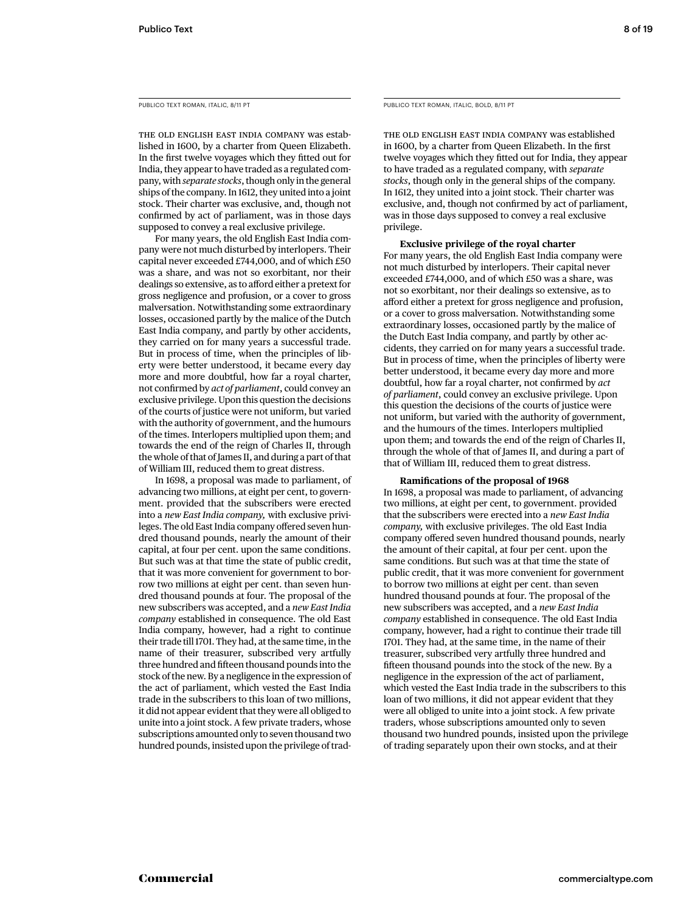PUBLICO TEXT ROMAN, ITALIC, 8/11 PT

THE OLD ENGLISH EAST INDIA COMPANY was established in 1600, by a charter from Queen Elizabeth. In the first twelve voyages which they fitted out for India, they appear to have traded as a regulated company, with *separate stocks*, though only in the general ships of the company. In 1612, they united into a joint stock. Their charter was exclusive, and, though not confirmed by act of parliament, was in those days supposed to convey a real exclusive privilege.

 For many years, the old English East India company were not much disturbed by interlopers. Their capital never exceeded £744,000, and of which £50 was a share, and was not so exorbitant, nor their dealings so extensive, as to afford either a pretext for gross negligence and profusion, or a cover to gross malversation. Notwithstanding some extraordinary losses, occasioned partly by the malice of the Dutch East India company, and partly by other accidents, they carried on for many years a successful trade. But in process of time, when the principles of liberty were better understood, it became every day more and more doubtful, how far a royal charter, not confirmed by *act of parliament*, could convey an exclusive privilege. Upon this question the decisions of the courts of justice were not uniform, but varied with the authority of government, and the humours of the times. Interlopers multiplied upon them; and towards the end of the reign of Charles II, through the whole of that of James II, and during a part of that of William III, reduced them to great distress.

 In 1698, a proposal was made to parliament, of advancing two millions, at eight per cent, to government. provided that the subscribers were erected into a *new East India company,* with exclusive privileges. The old East India company offered seven hundred thousand pounds, nearly the amount of their capital, at four per cent. upon the same conditions. But such was at that time the state of public credit, that it was more convenient for government to borrow two millions at eight per cent. than seven hundred thousand pounds at four. The proposal of the new subscribers was accepted, and a *new East India company* established in consequence. The old East India company, however, had a right to continue their trade till 1701. They had, at the same time, in the name of their treasurer, subscribed very artfully three hundred and fifteen thousand pounds into the stock of the new. By a negligence in the expression of the act of parliament, which vested the East India trade in the subscribers to this loan of two millions, it did not appear evident that they were all obliged to unite into a joint stock. A few private traders, whose subscriptions amounted only to seven thousand two hundred pounds, insisted upon the privilege of tradPUBLICO TEXT ROMAN, ITALIC, BOLD, 8/11 PT

THE OLD ENGLISH EAST INDIA COMPANY was established in 1600, by a charter from Queen Elizabeth. In the first twelve voyages which they fitted out for India, they appear to have traded as a regulated company, with *separate stocks*, though only in the general ships of the company. In 1612, they united into a joint stock. Their charter was exclusive, and, though not confirmed by act of parliament, was in those days supposed to convey a real exclusive privilege.

 **Exclusive privilege of the royal charter**

For many years, the old English East India company were not much disturbed by interlopers. Their capital never exceeded £744,000, and of which £50 was a share, was not so exorbitant, nor their dealings so extensive, as to afford either a pretext for gross negligence and profusion, or a cover to gross malversation. Notwithstanding some extraordinary losses, occasioned partly by the malice of the Dutch East India company, and partly by other accidents, they carried on for many years a successful trade. But in process of time, when the principles of liberty were better understood, it became every day more and more doubtful, how far a royal charter, not confirmed by *act of parliament*, could convey an exclusive privilege. Upon this question the decisions of the courts of justice were not uniform, but varied with the authority of government, and the humours of the times. Interlopers multiplied upon them; and towards the end of the reign of Charles II, through the whole of that of James II, and during a part of that of William III, reduced them to great distress.

# **Ramifications of the proposal of 1968**

In 1698, a proposal was made to parliament, of advancing two millions, at eight per cent, to government. provided that the subscribers were erected into a *new East India company,* with exclusive privileges. The old East India company offered seven hundred thousand pounds, nearly the amount of their capital, at four per cent. upon the same conditions. But such was at that time the state of public credit, that it was more convenient for government to borrow two millions at eight per cent. than seven hundred thousand pounds at four. The proposal of the new subscribers was accepted, and a *new East India company* established in consequence. The old East India company, however, had a right to continue their trade till 1701. They had, at the same time, in the name of their treasurer, subscribed very artfully three hundred and fifteen thousand pounds into the stock of the new. By a negligence in the expression of the act of parliament, which vested the East India trade in the subscribers to this loan of two millions, it did not appear evident that they were all obliged to unite into a joint stock. A few private traders, whose subscriptions amounted only to seven thousand two hundred pounds, insisted upon the privilege of trading separately upon their own stocks, and at their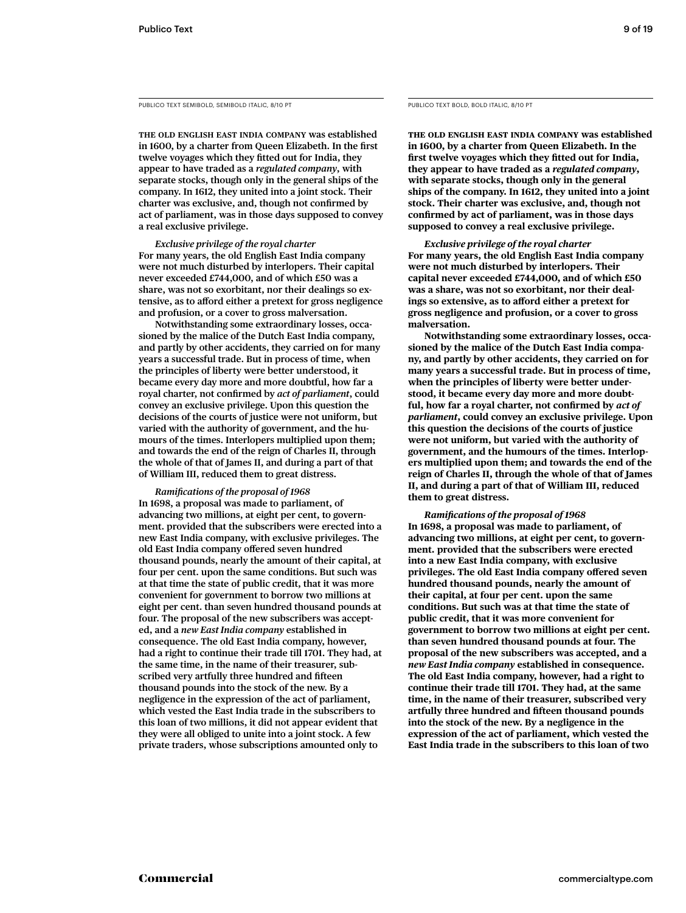PUBLICO TEXT SEMIBOLD, SEMIBOLD ITALIC, 8/10 PT

**THE OLD ENGLISH EAST INDIA COMPANY was established**  in 1600, by a charter from Queen Elizabeth. In the first twelve voyages which they fitted out for India, they **appear to have traded as a** *regulated company***, with separate stocks, though only in the general ships of the company. In 1612, they united into a joint stock. Their**  charter was exclusive, and, though not confirmed by **act of parliament, was in those days supposed to convey a real exclusive privilege.** 

 *Exclusive privilege of the royal charter* **For many years, the old English East India company were not much disturbed by interlopers. Their capital never exceeded £744,000, and of which £50 was a share, was not so exorbitant, nor their dealings so ex**tensive, as to afford either a pretext for gross negligence **and profusion, or a cover to gross malversation.** 

 **Notwithstanding some extraordinary losses, occasioned by the malice of the Dutch East India company, and partly by other accidents, they carried on for many years a successful trade. But in process of time, when the principles of liberty were better understood, it became every day more and more doubtful, how far a**  royal charter, not confirmed by *act of parliament*, could **convey an exclusive privilege. Upon this question the decisions of the courts of justice were not uniform, but varied with the authority of government, and the humours of the times. Interlopers multiplied upon them; and towards the end of the reign of Charles II, through the whole of that of James II, and during a part of that of William III, reduced them to great distress.** 

 *Ramifi cations of the proposal of 1968* **In 1698, a proposal was made to parliament, of advancing two millions, at eight per cent, to government. provided that the subscribers were erected into a new East India company, with exclusive privileges. The old East India company offered seven hundred thousand pounds, nearly the amount of their capital, at four per cent. upon the same conditions. But such was at that time the state of public credit, that it was more convenient for government to borrow two millions at eight per cent. than seven hundred thousand pounds at four. The proposal of the new subscribers was accepted, and a** *new East India company* **established in consequence. The old East India company, however, had a right to continue their trade till 1701. They had, at the same time, in the name of their treasurer, sub**scribed very artfully three hundred and fifteen **thousand pounds into the stock of the new. By a negligence in the expression of the act of parliament, which vested the East India trade in the subscribers to this loan of two millions, it did not appear evident that they were all obliged to unite into a joint stock. A few private traders, whose subscriptions amounted only to** 

PUBLICO TEXT BOLD, BOLD ITALIC, 8/10 PT

**THE OLD ENGLISH EAST INDIA COMPANY was established in 1600, by a charter from Queen Elizabeth. In the**  first twelve voyages which they fitted out for India, **they appear to have traded as a** *regulated company***, with separate stocks, though only in the general ships of the company. In 1612, they united into a joint stock. Their charter was exclusive, and, though not**  confirmed by act of parliament, was in those days **supposed to convey a real exclusive privilege.** 

 *Exclusive privilege of the royal charter* **For many years, the old English East India company were not much disturbed by interlopers. Their capital never exceeded £744,000, and of which £50 was a share, was not so exorbitant, nor their deal**ings so extensive, as to afford either a pretext for **gross negligence and profusion, or a cover to gross malversation.** 

 **Notwithstanding some extraordinary losses, occasioned by the malice of the Dutch East India company, and partly by other accidents, they carried on for many years a successful trade. But in process of time, when the principles of liberty were better understood, it became every day more and more doubt**ful, how far a royal charter, not confirmed by *act of parliament***, could convey an exclusive privilege. Upon this question the decisions of the courts of justice were not uniform, but varied with the authority of government, and the humours of the times. Interlopers multiplied upon them; and towards the end of the reign of Charles II, through the whole of that of James II, and during a part of that of William III, reduced them to great distress.** 

# *Ramifi cations of the proposal of 1968*

**In 1698, a proposal was made to parliament, of advancing two millions, at eight per cent, to government. provided that the subscribers were erected into a new East India company, with exclusive**  privileges. The old East India company offered seven **hundred thousand pounds, nearly the amount of their capital, at four per cent. upon the same conditions. But such was at that time the state of public credit, that it was more convenient for government to borrow two millions at eight per cent. than seven hundred thousand pounds at four. The proposal of the new subscribers was accepted, and a**  *new East India company* **established in consequence. The old East India company, however, had a right to continue their trade till 1701. They had, at the same time, in the name of their treasurer, subscribed very**  artfully three hundred and fifteen thousand pounds **into the stock of the new. By a negligence in the expression of the act of parliament, which vested the East India trade in the subscribers to this loan of two**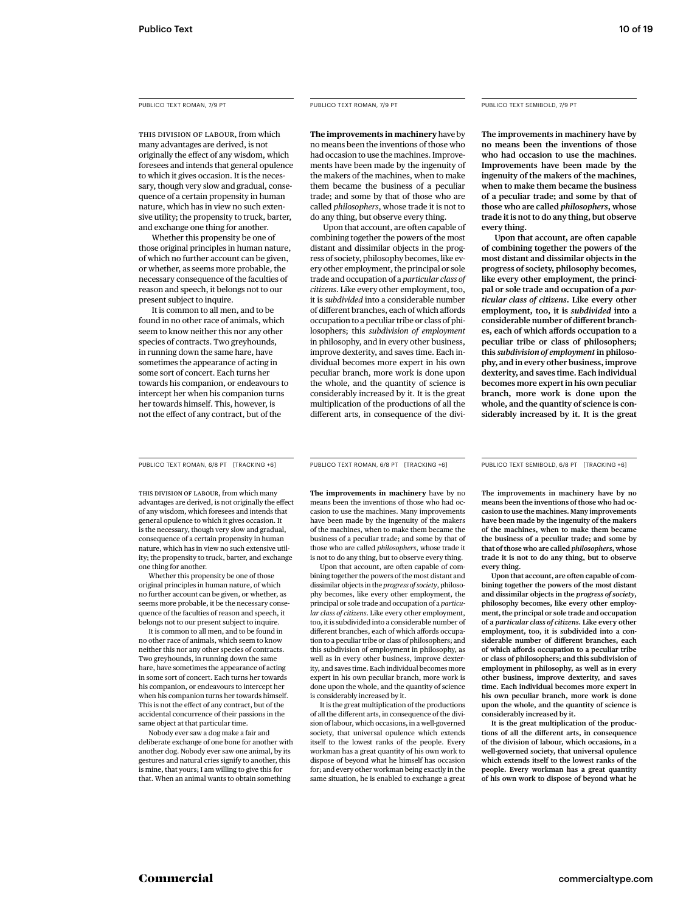THIS DIVISION OF LABOUR, from which many advantages are derived, is not originally the effect of any wisdom, which foresees and intends that general opulence to which it gives occasion. It is the necessary, though very slow and gradual, consequence of a certain propensity in human nature, which has in view no such extensive utility; the propensity to truck, barter, and exchange one thing for another.

 Whether this propensity be one of those original principles in human nature, of which no further account can be given, or whether, as seems more probable, the necessary consequence of the faculties of reason and speech, it belongs not to our present subject to inquire.

 It is common to all men, and to be found in no other race of animals, which seem to know neither this nor any other species of contracts. Two greyhounds, in running down the same hare, have sometimes the appearance of acting in some sort of concert. Each turns her towards his companion, or endeavours to intercept her when his companion turns her towards himself. This, however, is not the effect of any contract, but of the

**The improvements in machinery** have by no means been the inventions of those who had occasion to use the machines. Improvements have been made by the ingenuity of the makers of the machines, when to make them became the business of a peculiar trade; and some by that of those who are called *philosophers*, whose trade it is not to do any thing, but observe every thing.

 Upon that account, are often capable of combining together the powers of the most distant and dissimilar objects in the progress of society, philosophy becomes, like every other employment, the principal or sole trade and occupation of a *particular class of citizens*. Like every other employment, too, it is *subdivided* into a considerable number of different branches, each of which affords occupation to a peculiar tribe or class of philosophers; this *subdivision of employment* in philosophy, and in every other business, improve dexterity, and saves time. Each individual becomes more expert in his own peculiar branch, more work is done upon the whole, and the quantity of science is considerably increased by it. It is the great multiplication of the productions of all the different arts, in consequence of the divi-

# PUBLICO TEXT SEMIBOLD, 7/9 PT

**The improvements in machinery have by no means been the inventions of those who had occasion to use the machines. Improvements have been made by the ingenuity of the makers of the machines, when to make them became the business of a peculiar trade; and some by that of those who are called** *philosophers***, whose trade it is not to do any thing, but observe every thing.** 

 **Upon that account, are often capable of combining together the powers of the most distant and dissimilar objects in the progress of society, philosophy becomes, like every other employment, the principal or sole trade and occupation of a** *particular class of citizens***. Like every other employment, too, it is** *subdivided* **into a**  considerable number of different branches, each of which affords occupation to a **peculiar tribe or class of philosophers; this** *subdivision of employment* **in philosophy, and in every other business, improve dexterity, and saves time. Each individual becomes more expert in his own peculiar branch, more work is done upon the whole, and the quantity of science is considerably increased by it. It is the great** 

PUBLICO TEXT ROMAN, 6/8 PT [TRACKING +6] PUBLICO TEXT ROMAN, 6/8 PT [TRACKING +6]

PUBLICO TEXT SEMIBOLD, 6/8 PT [TRACKING +6]

THIS DIVISION OF LABOUR, from which many advantages are derived, is not originally the effect of any wisdom, which foresees and intends that general opulence to which it gives occasion. It is the necessary, though very slow and gradual, consequence of a certain propensity in human nature, which has in view no such extensive utility; the propensity to truck, barter, and exchange one thing for another.

 Whether this propensity be one of those original principles in human nature, of which no further account can be given, or whether, as seems more probable, it be the necessary consequence of the faculties of reason and speech, it belongs not to our present subject to inquire.

 It is common to all men, and to be found in no other race of animals, which seem to know neither this nor any other species of contracts. Two greyhounds, in running down the same hare, have sometimes the appearance of acting in some sort of concert. Each turns her towards his companion, or endeavours to intercept her when his companion turns her towards himself. This is not the effect of any contract, but of the accidental concurrence of their passions in the same object at that particular time

 Nobody ever saw a dog make a fair and deliberate exchange of one bone for another with another dog. Nobody ever saw one animal, by its gestures and natural cries signify to another, this is mine, that yours; I am willing to give this for that. When an animal wants to obtain something

**The improvements in machinery** have by no means been the inventions of those who had occasion to use the machines. Many improvements have been made by the ingenuity of the makers of the machines, when to make them became the business of a peculiar trade; and some by that of those who are called *philosophers*, whose trade it is not to do any thing, but to observe every thing.

 Upon that account, are often capable of combining together the powers of the most distant and dissimilar objects in the *progress of society*, philosophy becomes, like every other employment, the principal or sole trade and occupation of a *particular class of citizens*. Like every other employment, too, it is subdivided into a considerable number of different branches, each of which affords occupation to a peculiar tribe or class of philosophers; and this subdivision of employment in philosophy, as well as in every other business, improve dexterity, and saves time. Each individual becomes more expert in his own peculiar branch, more work is done upon the whole, and the quantity of science is considerably increased by it.

 It is the great multiplication of the productions of all the different arts, in consequence of the division of labour, which occasions, in a well-governed society, that universal opulence which extends itself to the lowest ranks of the people. Every workman has a great quantity of his own work to dispose of beyond what he himself has occasion for; and every other workman being exactly in the same situation, he is enabled to exchange a great

**The improvements in machinery have by no means been the inventions of those who had occasion to use the machines. Many improvements have been made by the ingenuity of the makers of the machines, when to make them became the business of a peculiar trade; and some by that of those who are called** *philosophers***, whose trade it is not to do any thing, but to observe every thing.** 

 **Upon that account, are often capable of combining together the powers of the most distant and dissimilar objects in the** *progress of society***, philosophy becomes, like every other employment, the principal or sole trade and occupation of a** *particular class of citizens***. Like every other employment, too, it is subdivided into a con**siderable number of different branches, each of which affords occupation to a peculiar tribe **or class of philosophers; and this subdivision of employment in philosophy, as well as in every other business, improve dexterity, and saves time. Each individual becomes more expert in his own peculiar branch, more work is done upon the whole, and the quantity of science is considerably increased by it.** 

 **It is the great multiplication of the produc**tions of all the different arts, in consequence **of the division of labour, which occasions, in a well-governed society, that universal opulence which extends itself to the lowest ranks of the people. Every workman has a great quantity of his own work to dispose of beyond what he**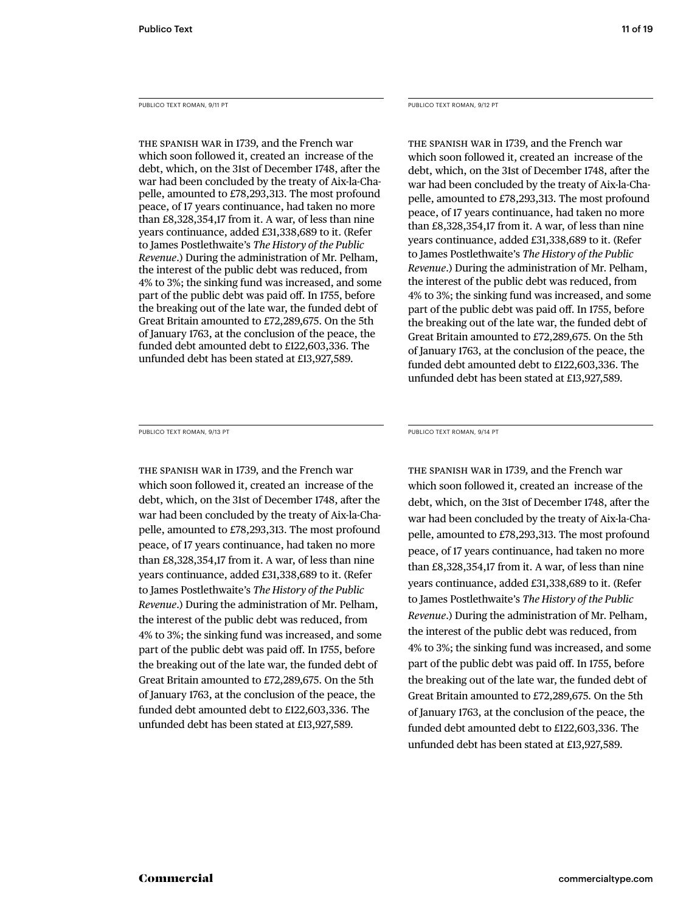PUBLICO TEXT ROMAN, 9/11 PT

THE SPANISH WAR in 1739, and the French war which soon followed it, created an increase of the debt, which, on the 31st of December 1748, after the war had been concluded by the treaty of Aix-la-Chapelle, amounted to £78,293,313. The most profound peace, of 17 years continuance, had taken no more than £8,328,354,17 from it. A war, of less than nine years continuance, added £31,338,689 to it. (Refer to James Postlethwaite's *The History of the Public Revenue*.) During the administration of Mr. Pelham, the interest of the public debt was reduced, from 4% to 3%; the sinking fund was increased, and some part of the public debt was paid off. In 1755, before the breaking out of the late war, the funded debt of Great Britain amounted to £72,289,675. On the 5th of January 1763, at the conclusion of the peace, the funded debt amounted debt to £122,603,336. The unfunded debt has been stated at £13,927,589.

PUBLICO TEXT ROMAN, 9/12 PT

THE SPANISH WAR in 1739, and the French war which soon followed it, created an increase of the debt, which, on the 31st of December 1748, after the war had been concluded by the treaty of Aix-la-Chapelle, amounted to £78,293,313. The most profound peace, of 17 years continuance, had taken no more than £8,328,354,17 from it. A war, of less than nine years continuance, added £31,338,689 to it. (Refer to James Postlethwaite's *The History of the Public Revenue*.) During the administration of Mr. Pelham, the interest of the public debt was reduced, from 4% to 3%; the sinking fund was increased, and some part of the public debt was paid off. In 1755, before the breaking out of the late war, the funded debt of Great Britain amounted to £72,289,675. On the 5th of January 1763, at the conclusion of the peace, the funded debt amounted debt to £122,603,336. The unfunded debt has been stated at £13,927,589.

PUBLICO TEXT ROMAN, 9/13 PT

THE SPANISH WAR in 1739, and the French war which soon followed it, created an increase of the debt, which, on the 31st of December 1748, after the war had been concluded by the treaty of Aix-la-Chapelle, amounted to £78,293,313. The most profound peace, of 17 years continuance, had taken no more than £8,328,354,17 from it. A war, of less than nine years continuance, added £31,338,689 to it. (Refer to James Postlethwaite's *The History of the Public Revenue*.) During the administration of Mr. Pelham, the interest of the public debt was reduced, from 4% to 3%; the sinking fund was increased, and some part of the public debt was paid off. In 1755, before the breaking out of the late war, the funded debt of Great Britain amounted to £72,289,675. On the 5th of January 1763, at the conclusion of the peace, the funded debt amounted debt to £122,603,336. The unfunded debt has been stated at £13,927,589.

PUBLICO TEXT ROMAN, 9/14 PT

THE SPANISH WAR in 1739, and the French war which soon followed it, created an increase of the debt, which, on the 31st of December 1748, after the war had been concluded by the treaty of Aix-la-Chapelle, amounted to £78,293,313. The most profound peace, of 17 years continuance, had taken no more than £8,328,354,17 from it. A war, of less than nine years continuance, added £31,338,689 to it. (Refer to James Postlethwaite's *The History of the Public Revenue*.) During the administration of Mr. Pelham, the interest of the public debt was reduced, from 4% to 3%; the sinking fund was increased, and some part of the public debt was paid off. In 1755, before the breaking out of the late war, the funded debt of Great Britain amounted to £72,289,675. On the 5th of January 1763, at the conclusion of the peace, the funded debt amounted debt to £122,603,336. The unfunded debt has been stated at £13,927,589.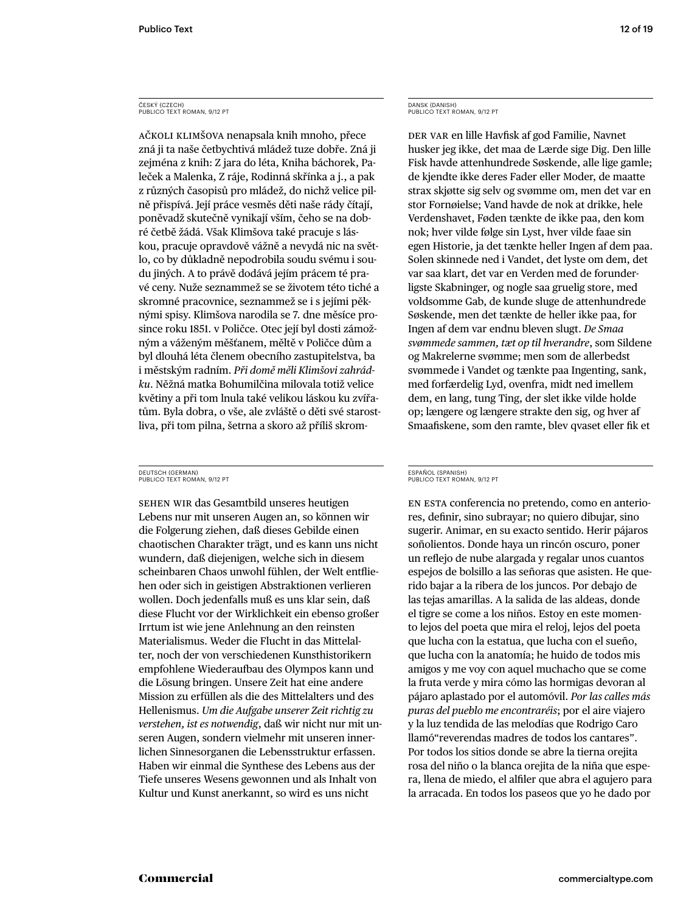#### ČESKÝ (CZECH) PUBLICO TEXT ROMAN, 9/12 PT

AČKOLI KLIMŠOVA nenapsala knih mnoho, přece zná ji ta naše četbychtivá mládež tuze dobře. Zná ji zejména z knih: Z jara do léta, Kniha báchorek, Paleček a Malenka, Z ráje, Rodinná skřínka a j., a pak z různých časopisů pro mládež, do nichž velice pilně přispívá. Její práce vesměs děti naše rády čítají, poněvadž skutečně vynikají vším, čeho se na dobré četbě žádá. Však Klimšova také pracuje s láskou, pracuje opravdově vážně a nevydá nic na světlo, co by důkladně nepodrobila soudu svému i soudu jiných. A to právě dodává jejím prácem té pravé ceny. Nuže seznammež se se životem této tiché a skromné pracovnice, seznammež se i s jejími pěknými spisy. Klimšova narodila se 7. dne měsíce prosince roku 1851. v Poličce. Otec její byl dosti zámožným a váženým měšťanem, měltě v Poličce dům a byl dlouhá léta členem obecního zastupitelstva, ba i městským radním. *Při domě měli Klimšovi zahrádku*. Něžná matka Bohumilčina milovala totiž velice květiny a při tom lnula také velikou láskou ku zvířatům. Byla dobra, o vše, ale zvláště o děti své starostliva, při tom pilna, šetrna a skoro až příliš skrom-

#### DEUTSCH (GERMAN) PUBLICO TEXT ROMAN, 9/12 PT

SEHEN WIR das Gesamtbild unseres heutigen Lebens nur mit unseren Augen an, so können wir die Folgerung ziehen, daß dieses Gebilde einen chaotischen Charakter trägt, und es kann uns nicht wundern, daß diejenigen, welche sich in diesem scheinbaren Chaos unwohl fühlen, der Welt entfliehen oder sich in geistigen Abstraktionen verlieren wollen. Doch jedenfalls muß es uns klar sein, daß diese Flucht vor der Wirklichkeit ein ebenso großer Irrtum ist wie jene Anlehnung an den reinsten Materialismus. Weder die Flucht in das Mittelalter, noch der von verschiedenen Kunsthistorikern empfohlene Wiederaufbau des Olympos kann und die Lösung bringen. Unsere Zeit hat eine andere Mission zu erfüllen als die des Mittelalters und des Hellenismus. *Um die Aufgabe unserer Zeit richtig zu verstehen, ist es notwendig*, daß wir nicht nur mit unseren Augen, sondern vielmehr mit unseren innerlichen Sinnesorganen die Lebensstruktur erfassen. Haben wir einmal die Synthese des Lebens aus der Tiefe unseres Wesens gewonnen und als Inhalt von Kultur und Kunst anerkannt, so wird es uns nicht

#### DANSK (DANISH) PUBLICO TEXT ROMAN, 9/12 PT

DER VAR en lille Havfisk af god Familie, Navnet husker jeg ikke, det maa de Lærde sige Dig. Den lille Fisk havde attenhundrede Søskende, alle lige gamle; de kjendte ikke deres Fader eller Moder, de maatte strax skjøtte sig selv og svømme om, men det var en stor Fornøielse; Vand havde de nok at drikke, hele Verdenshavet, Føden tænkte de ikke paa, den kom nok; hver vilde følge sin Lyst, hver vilde faae sin egen Historie, ja det tænkte heller Ingen af dem paa. Solen skinnede ned i Vandet, det lyste om dem, det var saa klart, det var en Verden med de forunderligste Skabninger, og nogle saa gruelig store, med voldsomme Gab, de kunde sluge de attenhundrede Søskende, men det tænkte de heller ikke paa, for Ingen af dem var endnu bleven slugt. *De Smaa svømmede sammen, tæt op til hverandre*, som Sildene og Makrelerne svømme; men som de allerbedst svømmede i Vandet og tænkte paa Ingenting, sank, med forfærdelig Lyd, ovenfra, midt ned imellem dem, en lang, tung Ting, der slet ikke vilde holde op; længere og længere strakte den sig, og hver af Smaafiskene, som den ramte, blev qvaset eller fik et

#### ESPAÑOL (SPANISH) PUBLICO TEXT ROMAN, 9/12 PT

EN ESTA conferencia no pretendo, como en anteriores, definir, sino subrayar; no quiero dibujar, sino sugerir. Animar, en su exacto sentido. Herir pájaros soñolientos. Donde haya un rincón oscuro, poner un reflejo de nube alargada y regalar unos cuantos espejos de bolsillo a las señoras que asisten. He querido bajar a la ribera de los juncos. Por debajo de las tejas amarillas. A la salida de las aldeas, donde el tigre se come a los niños. Estoy en este momento lejos del poeta que mira el reloj, lejos del poeta que lucha con la estatua, que lucha con el sueño, que lucha con la anatomía; he huido de todos mis amigos y me voy con aquel muchacho que se come la fruta verde y mira cómo las hormigas devoran al pájaro aplastado por el automóvil. *Por las calles más puras del pueblo me encontraréis*; por el aire viajero y la luz tendida de las melodías que Rodrigo Caro llamó"reverendas madres de todos los cantares". Por todos los sitios donde se abre la tierna orejita rosa del niño o la blanca orejita de la niña que espera, llena de miedo, el alfiler que abra el agujero para la arracada. En todos los paseos que yo he dado por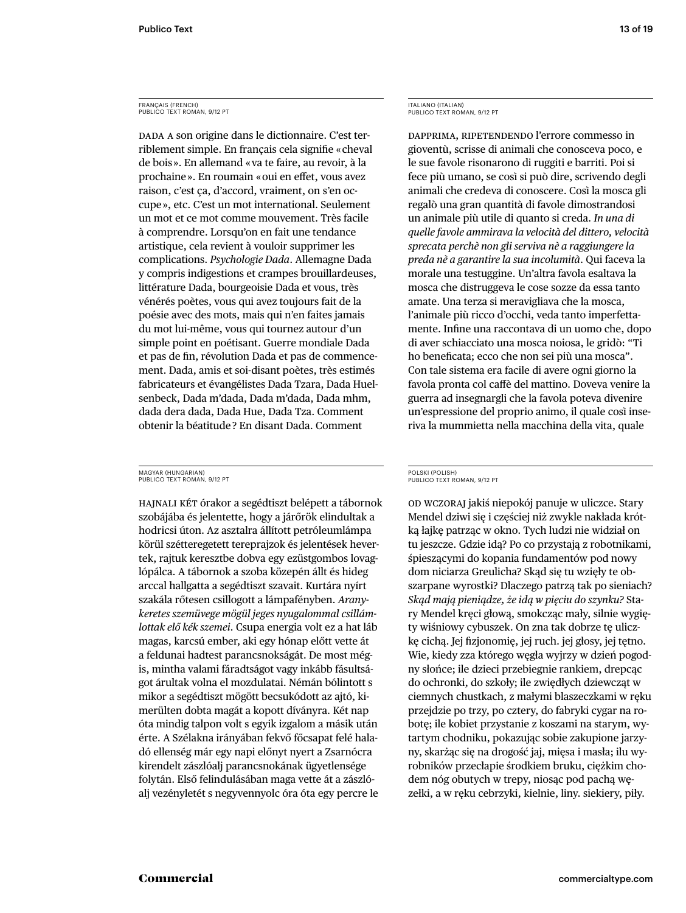#### FRANÇAIS (FRENCH) PUBLICO TEXT ROMAN, 9/12 PT

DADA A son origine dans le dictionnaire. C'est terriblement simple. En français cela signifie « cheval de bois ». En allemand « va te faire, au revoir, à la prochaine ». En roumain « oui en effet, vous avez raison, c'est ça, d'accord, vraiment, on s'en occupe », etc. C'est un mot international. Seulement un mot et ce mot comme mouvement. Très facile à comprendre. Lorsqu'on en fait une tendance artistique, cela revient à vouloir supprimer les complications. *Psychologie Dada*. Allemagne Dada y compris indigestions et crampes brouillardeuses, littérature Dada, bourgeoisie Dada et vous, très vénérés poètes, vous qui avez toujours fait de la poésie avec des mots, mais qui n'en faites jamais du mot lui-même, vous qui tournez autour d'un simple point en poétisant. Guerre mondiale Dada et pas de fin, révolution Dada et pas de commencement. Dada, amis et soi-disant poètes, très estimés fabricateurs et évangélistes Dada Tzara, Dada Huelsenbeck, Dada m'dada, Dada m'dada, Dada mhm, dada dera dada, Dada Hue, Dada Tza. Comment obtenir la béatitude ? En disant Dada. Comment

#### MAGYAR (HUNGARIAN) PUBLICO TEXT ROMAN, 9/12 PT

HAJNALI KÉT órakor a segédtiszt belépett a tábornok szobájába és jelentette, hogy a járőrök elindultak a hodricsi úton. Az asztalra állított petróleumlámpa körül szétteregetett tereprajzok és jelentések hevertek, rajtuk keresztbe dobva egy ezüstgombos lovaglópálca. A tábornok a szoba közepén állt és hideg arccal hallgatta a segédtiszt szavait. Kurtára nyírt szakála rőtesen csillogott a lámpafényben. *Aranykeretes szemüvege mögül jeges nyugalommal csillámlottak elő kék szemei*. Csupa energia volt ez a hat láb magas, karcsú ember, aki egy hónap előtt vette át a feldunai hadtest parancsnokságát. De most mégis, mintha valami fáradtságot vagy inkább fásultságot árultak volna el mozdulatai. Némán bólintott s mikor a segédtiszt mögött becsukódott az ajtó, kimerülten dobta magát a kopott díványra. Két nap óta mindig talpon volt s egyik izgalom a másik után érte. A Szélakna irányában fekvő főcsapat felé haladó ellenség már egy napi előnyt nyert a Zsarnócra kirendelt zászlóalj parancsnokának ügyetlensége folytán. Első felindulásában maga vette át a zászlóalj vezényletét s negyvennyolc óra óta egy percre le

# ITALIANO (ITALIAN) PUBLICO TEXT ROMAN, 9/12 PT

DAPPRIMA, RIPETENDENDO l'errore commesso in gioventù, scrisse di animali che conosceva poco, e le sue favole risonarono di ruggiti e barriti. Poi si fece più umano, se così si può dire, scrivendo degli animali che credeva di conoscere. Così la mosca gli regalò una gran quantità di favole dimostrandosi un animale più utile di quanto si creda. *In una di quelle favole ammirava la velocità del dittero, velocità sprecata perchè non gli serviva nè a raggiungere la preda nè a garantire la sua incolumità*. Qui faceva la morale una testuggine. Un'altra favola esaltava la mosca che distruggeva le cose sozze da essa tanto amate. Una terza si meravigliava che la mosca, l'animale più ricco d'occhi, veda tanto imperfettamente. Infine una raccontava di un uomo che, dopo di aver schiacciato una mosca noiosa, le gridò: "Ti ho beneficata; ecco che non sei più una mosca". Con tale sistema era facile di avere ogni giorno la favola pronta col caffè del mattino. Doveva venire la guerra ad insegnargli che la favola poteva divenire un'espressione del proprio animo, il quale così inseriva la mummietta nella macchina della vita, quale

#### POLSKI (POLISH) PUBLICO TEXT ROMAN, 9/12 PT

OD WCZORAJ jakiś niepokój panuje w uliczce. Stary Mendel dziwi się i częściej niż zwykle nakłada krótką łajkę patrząc w okno. Tych ludzi nie widział on tu jeszcze. Gdzie idą? Po co przystają z robotnikami, śpieszącymi do kopania fundamentów pod nowy dom niciarza Greulicha? Skąd się tu wzięły te obszarpane wyrostki? Dlaczego patrzą tak po sieniach? *Skąd mają pieniądze, że idą w pięciu do szynku?* Stary Mendel kręci głową, smokcząc mały, silnie wygięty wiśniowy cybuszek. On zna tak dobrze tę uliczkę cichą. Jej fizjonomię, jej ruch. jej głosy, jej tętno. Wie, kiedy zza którego węgła wyjrzy w dzień pogodny słońce; ile dzieci przebiegnie rankiem, drepcąc do ochronki, do szkoły; ile zwiędłych dziewcząt w ciemnych chustkach, z małymi blaszeczkami w ręku przejdzie po trzy, po cztery, do fabryki cygar na robotę; ile kobiet przystanie z koszami na starym, wytartym chodniku, pokazując sobie zakupione jarzyny, skarżąc się na drogość jaj, mięsa i masła; ilu wyrobników przecłapie środkiem bruku, ciężkim chodem nóg obutych w trepy, niosąc pod pachą węzełki, a w ręku cebrzyki, kielnie, liny. siekiery, piły.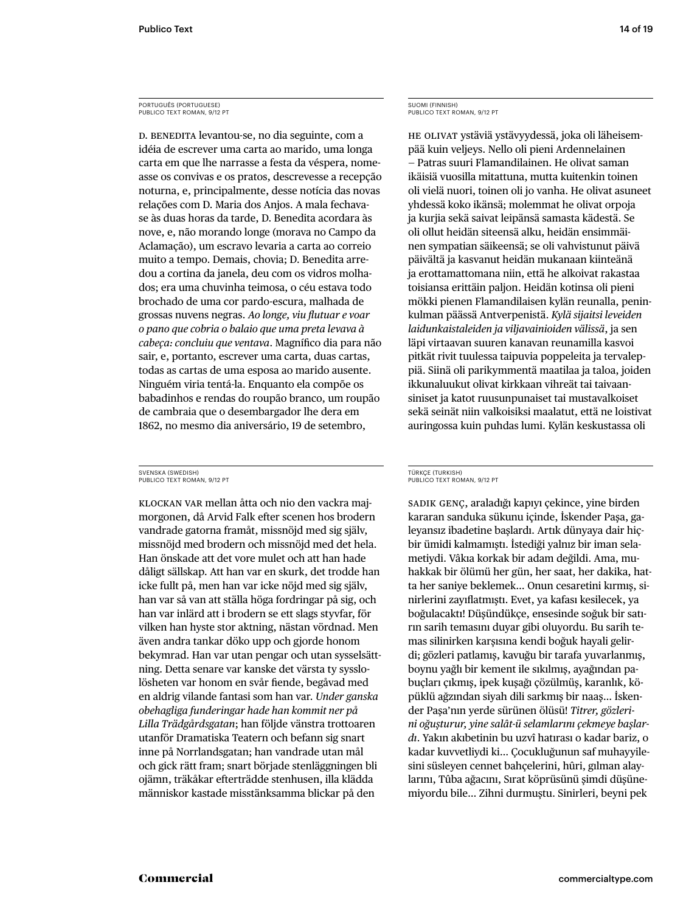# PORTUGUÊS (PORTUGUESE) PUBLICO TEXT ROMAN, 9/12 PT

D. BENEDITA levantou-se, no dia seguinte, com a idéia de escrever uma carta ao marido, uma longa carta em que lhe narrasse a festa da véspera, nomeasse os convivas e os pratos, descrevesse a recepção noturna, e, principalmente, desse notícia das novas relações com D. Maria dos Anjos. A mala fechavase às duas horas da tarde, D. Benedita acordara às nove, e, não morando longe (morava no Campo da Aclamação), um escravo levaria a carta ao correio muito a tempo. Demais, chovia; D. Benedita arredou a cortina da janela, deu com os vidros molhados; era uma chuvinha teimosa, o céu estava todo brochado de uma cor pardo-escura, malhada de grossas nuvens negras. *Ao longe, viu fl utuar e voar o pano que cobria o balaio que uma preta levava à cabeça: concluiu que ventava*. Magnífico dia para não sair, e, portanto, escrever uma carta, duas cartas, todas as cartas de uma esposa ao marido ausente. Ninguém viria tentá-la. Enquanto ela compõe os babadinhos e rendas do roupão branco, um roupão de cambraia que o desembargador lhe dera em 1862, no mesmo dia aniversário, 19 de setembro,

#### SVENSKA (SWEDISH) PUBLICO TEXT ROMAN, 9/12 PT

KLOCKAN VAR mellan åtta och nio den vackra majmorgonen, då Arvid Falk efter scenen hos brodern vandrade gatorna framåt, missnöjd med sig själv, missnöjd med brodern och missnöjd med det hela. Han önskade att det vore mulet och att han hade dåligt sällskap. Att han var en skurk, det trodde han icke fullt på, men han var icke nöjd med sig själv, han var så van att ställa höga fordringar på sig, och han var inlärd att i brodern se ett slags styvfar, för vilken han hyste stor aktning, nästan vördnad. Men även andra tankar döko upp och gjorde honom bekymrad. Han var utan pengar och utan sysselsättning. Detta senare var kanske det värsta ty sysslolösheten var honom en svår fiende, begåvad med en aldrig vilande fantasi som han var. *Under ganska obehagliga funderingar hade han kommit ner på Lilla Trädgårdsgatan*; han följde vänstra trottoaren utanför Dramatiska Teatern och befann sig snart inne på Norrlandsgatan; han vandrade utan mål och gick rätt fram; snart började stenläggningen bli ojämn, träkåkar efterträdde stenhusen, illa klädda människor kastade misstänksamma blickar på den

# SUOMI (FINNISH) PUBLICO TEXT ROMAN, 9/12 PT

HE OLIVAT ystäviä ystävyydessä, joka oli läheisempää kuin veljeys. Nello oli pieni Ardennelainen — Patras suuri Flamandilainen. He olivat saman ikäisiä vuosilla mitattuna, mutta kuitenkin toinen oli vielä nuori, toinen oli jo vanha. He olivat asuneet yhdessä koko ikänsä; molemmat he olivat orpoja ja kurjia sekä saivat leipänsä samasta kädestä. Se oli ollut heidän siteensä alku, heidän ensimmäinen sympatian säikeensä; se oli vahvistunut päivä päivältä ja kasvanut heidän mukanaan kiinteänä ja erottamattomana niin, että he alkoivat rakastaa toisiansa erittäin paljon. Heidän kotinsa oli pieni mökki pienen Flamandilaisen kylän reunalla, peninkulman päässä Antverpenistä. *Kylä sijaitsi leveiden laidunkaistaleiden ja viljavainioiden välissä*, ja sen läpi virtaavan suuren kanavan reunamilla kasvoi pitkät rivit tuulessa taipuvia poppeleita ja tervaleppiä. Siinä oli parikymmentä maatilaa ja taloa, joiden ikkunaluukut olivat kirkkaan vihreät tai taivaansiniset ja katot ruusunpunaiset tai mustavalkoiset sekä seinät niin valkoisiksi maalatut, että ne loistivat auringossa kuin puhdas lumi. Kylän keskustassa oli

#### TÜRKÇE (TURKISH) PUBLICO TEXT ROMAN, 9/12 PT

SADIK GENÇ, araladığı kapıyı çekince, yine birden kararan sanduka sükunu içinde, İskender Paşa, galeyansız ibadetine başlardı. Artık dünyaya dair hiçbir ümidi kalmamıştı. İstediği yalnız bir iman selametiydi. Vâkıa korkak bir adam değildi. Ama, muhakkak bir ölümü her gün, her saat, her dakika, hatta her saniye beklemek... Onun cesaretini kırmış, sinirlerini zayıflatmıştı. Evet, ya kafası kesilecek, ya boğulacaktı! Düşündükçe, ensesinde soğuk bir satırın sarih temasını duyar gibi oluyordu. Bu sarih temas silinirken karşısına kendi boğuk hayali gelirdi; gözleri patlamış, kavuğu bir tarafa yuvarlanmış, boynu yağlı bir kement ile sıkılmış, ayağından pabuçları çıkmış, pek kuşağı çözülmüş, karanlık, köpüklü ağzından siyah dili sarkmış bir naaş... İskender Paşa'nın yerde sürünen ölüsü! *Ttrer, gözler n oğuşturur, yne salât-ü selamlarını çekmeye başlardi*. Yakın akıbetinin bu uzvî hatırası o kadar bariz, o kadar kuvvetliydi ki... Çocukluğunun saf muhayyilesini süsleyen cennet bahçelerini, hûri, gılman alaylarını, Tûba ağacını, Sırat köprüsünü şimdi düşünemiyordu bile... Zihni durmuştu. Sinirleri, beyni pek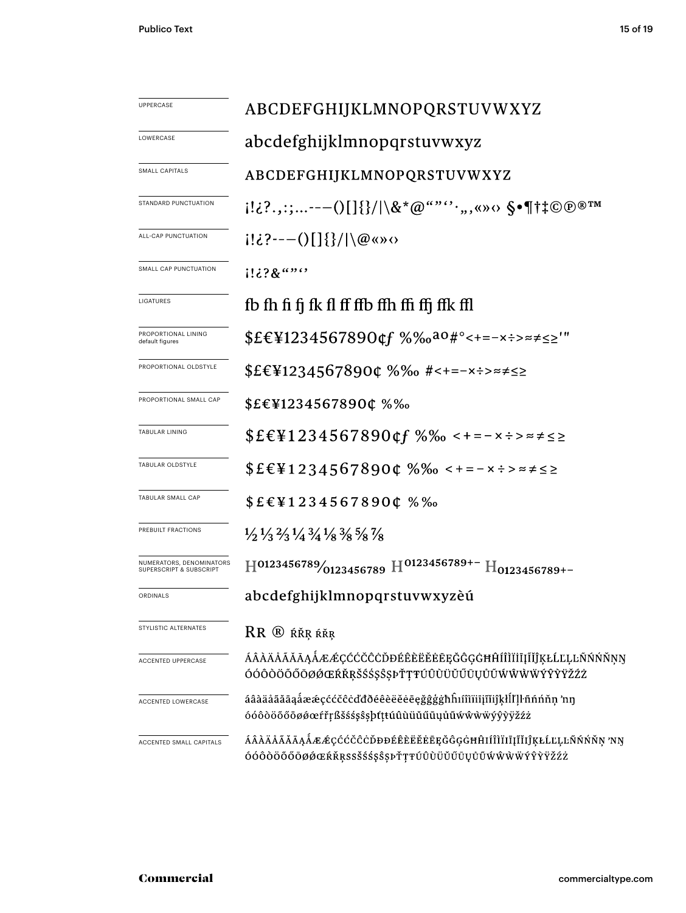| <b>UPPERCASE</b>                                    | ABCDEFGHIJKLMNOPQRSTUVWXYZ                                                                                                                                                                                                                                                                                                                                                                                                                                                                                                                         |  |  |  |
|-----------------------------------------------------|----------------------------------------------------------------------------------------------------------------------------------------------------------------------------------------------------------------------------------------------------------------------------------------------------------------------------------------------------------------------------------------------------------------------------------------------------------------------------------------------------------------------------------------------------|--|--|--|
| LOWERCASE                                           | abcdefghijklmnopqrstuvwxyz                                                                                                                                                                                                                                                                                                                                                                                                                                                                                                                         |  |  |  |
| SMALL CAPITALS                                      | ABCDEFGHIJKLMNOPQRSTUVWXYZ                                                                                                                                                                                                                                                                                                                                                                                                                                                                                                                         |  |  |  |
| STANDARD PUNCTUATION                                | $[!i \cdot 2 \cdot 1; \ldots --(1][3]/\&* \textcircled{a} \text{``'''} \cdot \ldots \textcirc \text{``} \textcirc \text{``} \textcirc \text{``} \textcirc \text{``} \textcirc \text{``} \textcirc \text{``} \textcirc \text{``} \textcirc \text{``} \textcirc \text{``} \textcirc \text{``} \textcirc \text{``} \textcirc \text{``} \textcirc \text{``} \textcirc \text{``} \textcirc \text{``} \textcirc \text{``} \textcirc \text{``} \textcirc \text{``} \textcirc \text{``} \textcirc \text{``} \textcirc \text{``} \textcirc \text{``} \text$ |  |  |  |
| ALL-CAP PUNCTUATION                                 | $i! \partial_{\Omega}(-\Theta)$   $ \{\}/  \langle \omega \rangle$ (a)                                                                                                                                                                                                                                                                                                                                                                                                                                                                             |  |  |  |
| SMALL CAP PUNCTUATION                               | $1!38$ $\cdots$                                                                                                                                                                                                                                                                                                                                                                                                                                                                                                                                    |  |  |  |
| LIGATURES                                           | fb fh fi fj fk fl ff ffb ffh ffi ffj ffk ffl                                                                                                                                                                                                                                                                                                                                                                                                                                                                                                       |  |  |  |
| PROPORTIONAL LINING<br>default figures              | $$EE\Pi234567890$ of $%$ % $a\circ$ #°<+=-x÷>≈≠≤≥'"                                                                                                                                                                                                                                                                                                                                                                                                                                                                                                |  |  |  |
| PROPORTIONAL OLDSTYLE                               | $$EEY12345678900\%$ % #<+=-x:> = $\neq$                                                                                                                                                                                                                                                                                                                                                                                                                                                                                                            |  |  |  |
| PROPORTIONAL SMALL CAP                              | $$E\in$ ¥1234567890¢ %‰                                                                                                                                                                                                                                                                                                                                                                                                                                                                                                                            |  |  |  |
| TABULAR LINING                                      | $$EE\Pi234567890$ of $%%$ $\leq t = -x \div z \leq z$                                                                                                                                                                                                                                                                                                                                                                                                                                                                                              |  |  |  |
| TABULAR OLDSTYLE                                    | $$EE\P 1234567890C %\%o <+ - x \div z \times z$                                                                                                                                                                                                                                                                                                                                                                                                                                                                                                    |  |  |  |
| TABULAR SMALL CAP                                   | $$E \in$ ¥1234567890¢ %‰                                                                                                                                                                                                                                                                                                                                                                                                                                                                                                                           |  |  |  |
| PREBUILT FRACTIONS                                  | $\frac{1}{2}$ $\frac{1}{3}$ $\frac{2}{3}$ $\frac{1}{4}$ $\frac{3}{4}$ $\frac{1}{8}$ $\frac{3}{8}$ $\frac{5}{8}$ $\frac{7}{8}$                                                                                                                                                                                                                                                                                                                                                                                                                      |  |  |  |
| NUMERATORS, DENOMINATORS<br>SUPERSCRIPT & SUBSCRIPT | $H^{0123456789}/_{0123456789}$ $H^{0123456789+-}$ $H_{0123456789+-}$                                                                                                                                                                                                                                                                                                                                                                                                                                                                               |  |  |  |
| ORDINALS                                            | abcdefghijklmnopqrstuvwxyzèú                                                                                                                                                                                                                                                                                                                                                                                                                                                                                                                       |  |  |  |
| STYLISTIC ALTERNATES                                | $RR$ $@$ $R$ $R$ $R$ $R$ $R$ $R$ $R$ $R$                                                                                                                                                                                                                                                                                                                                                                                                                                                                                                           |  |  |  |
| ACCENTED UPPERCASE                                  | ÁÂÀÄÅÃĂĀĄÅÆÆÇĆĆČĈÒĐÉÊÈËĖĒĘĞĜĢĠĦĤÍÎÌĬİĮĨĬĴĶŁĹĽĻĿÑŃŃŇŅŊ<br>ÓÓÔÒÖŐŐŌØŐŒŔŘŖŠŚŚŞŜŞPŤŢŦÚÛÙÜŬŰŪŲŮŨŴŴŴŴŶŶŸŽŹŻ                                                                                                                                                                                                                                                                                                                                                                                                                                              |  |  |  |
| ACCENTED LOWERCASE                                  | áâàäåãăāąåææçććčĉċďđðéêèëĕėēęğĝģġħĥıíîìïiiįĩijkłĺľḷŀñńńňņ 'nŋ<br>óóôòöőőōøøœfřŗßšśśşŝşþtttúûùüŭűūųůũwŵwwyŷỳÿžźż                                                                                                                                                                                                                                                                                                                                                                                                                                    |  |  |  |
| ACCENTED SMALL CAPITALS                             | ÁÂÀÄÅÃĂĀĄÅÆÆÇĆĆČĈÒĐĐÉÊÈËĔĔĔĘĞĜĢĠĦĤIÍÎÌÏIĪJĨĬIĴĶŁĹĽĻĿÑŃŃŇŅ'NŊ<br>ÓÓÔÒÖŐŐŌØØŒŔŘŖSSŠŚ\$Ş\$PŤŢŦÚÛÙÜŬŰŪŲŮŨŴŴŴŸŶŶŸŽŹŻ                                                                                                                                                                                                                                                                                                                                                                                                                                    |  |  |  |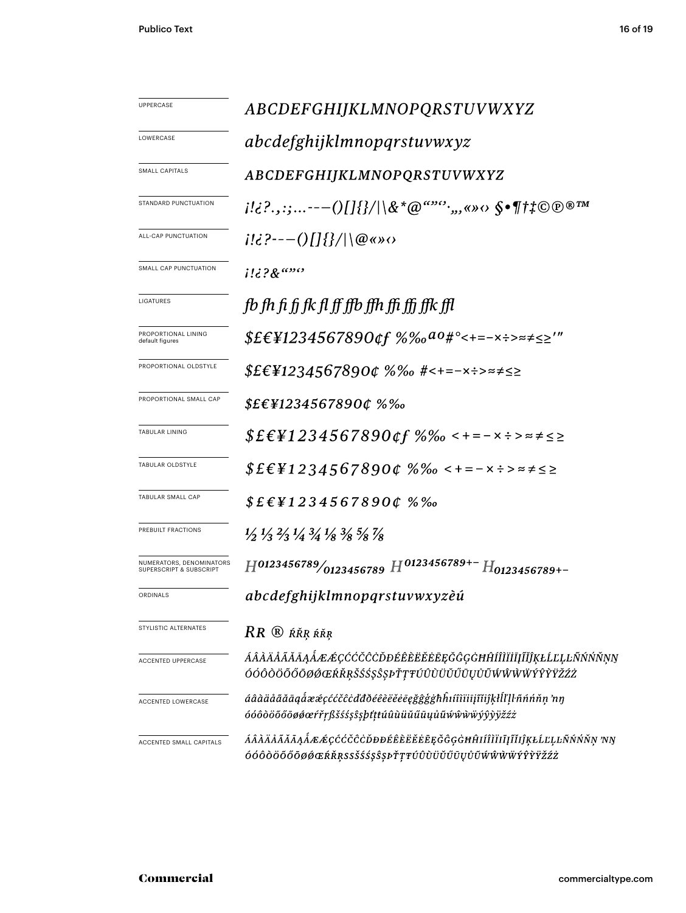| UPPERCASE                                           | ABCDEFGHIJKLMNOPQRSTUVWXYZ                                                                                                    |  |  |  |
|-----------------------------------------------------|-------------------------------------------------------------------------------------------------------------------------------|--|--|--|
| LOWERCASE                                           | abcdefghijklmnopqrstuvwxyz                                                                                                    |  |  |  |
| SMALL CAPITALS                                      | ABCDEFGHIJKLMNOPQRSTUVWXYZ                                                                                                    |  |  |  |
| STANDARD PUNCTUATION                                |                                                                                                                               |  |  |  |
| ALL-CAP PUNCTUATION                                 | $i!i$ ?---()[]{}/ \@«» $\circ$                                                                                                |  |  |  |
| SMALL CAP PUNCTUATION                               | $1!i$ ? $8^{6990}$                                                                                                            |  |  |  |
| LIGATURES                                           | fb fh fi fi fk fl ff ffb ffh ffi ffi ffk ffl                                                                                  |  |  |  |
| PROPORTIONAL LINING<br>default figures              | $$EEY1234567890$ of $%%a0*^{\circ}<+=-x:-\rightleftharpoons\leq>'''$                                                          |  |  |  |
| PROPORTIONAL OLDSTYLE                               | \$£€¥1234567890¢ %‰ #<+=-×÷>≈≠≤≥                                                                                              |  |  |  |
| PROPORTIONAL SMALL CAP                              | $$E\epsilon$ ¥1234567890¢ %‰                                                                                                  |  |  |  |
| <b>TABULAR LINING</b>                               | $$EEY1234567890$ of $%%$ $\leq$ + = - $\times$ $\div$ > $\approx$ $\neq$ $\leq$                                               |  |  |  |
| TABULAR OLDSTYLE                                    | $$E \in \{12345678900\% \% \times + = - \times \div \times \neq \leq \geq$                                                    |  |  |  |
| TABULAR SMALL CAP                                   | $$E$ £\{1234567890¢%%                                                                                                         |  |  |  |
| PREBUILT FRACTIONS                                  | $\frac{1}{2}$ $\frac{1}{3}$ $\frac{2}{3}$ $\frac{1}{4}$ $\frac{3}{4}$ $\frac{1}{8}$ $\frac{3}{8}$ $\frac{5}{8}$ $\frac{7}{8}$ |  |  |  |
| NUMERATORS, DENOMINATORS<br>SUPERSCRIPT & SUBSCRIPT | $H^{0123456789}/_{0123456789}$ $H^{0123456789+-}$ $H_{0123456789+-}$                                                          |  |  |  |
| ORDINALS                                            | abcdefghijklmnopqrstuvwxyzèú                                                                                                  |  |  |  |
| STYLISTIC ALTERNATES                                | RR ® ŔŘŖ ŔŘŖ                                                                                                                  |  |  |  |
| ACCENTED UPPERCASE                                  | ÁÂÀÄÅÃĂĀĄÅÆÆÇĆĆČĈÒĐÉÊÈËĔĔĒĘĞĜĢĠĦĤÍÎÌĬĬĮĨĬĴĶŁĹĽĻĿÑŃŃŇŅŊ<br>ÓÓÔŎÖŐŐŌØØŒŔŘŖŠŚŚŞŜSPŤŢŦÚÛÙÜŬŰŪŲŮŨŴŴŴŴÝŶŶŸŽŹŻ                       |  |  |  |
| ACCENTED LOWERCASE                                  | áâàäåãăāąåææçććčĉċďđðéêèëĕēęğĝģġħĥıíîìïiiįĩijķŀĺľḷŀñńňṇ 'nŋ<br>óóôòöőőōøøæŕřŗßšśśşŝşþťttúûùüŭűūųůũŵŵŵẅýŷỳÿžźż                 |  |  |  |
| ACCENTED SMALL CAPITALS                             | ÁÂÀÄÅÃĂĀĄÅÆÆÇĆĆČĈÒĐĐÉÊÈËĔĔĘĞĜĢĠĦĤIÍÎÌÏIĮĨĬIJŖŁĹĽĻĿÑŃŃŇŅ 'NŊ<br>ÓÓÔÒÖŐŐŌØØŒŔŘŖSSŠŚŚŞŜŖÞŤŢŦÚÛÙÜŬŰŪŲŮŨŴŴŴŴÝŶŶŸŽŹŻ                |  |  |  |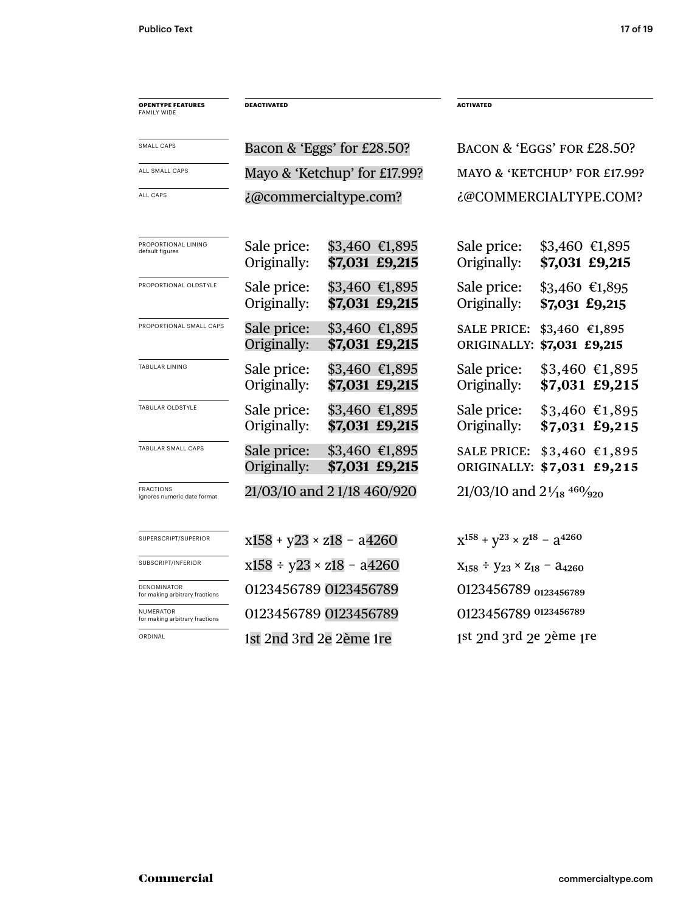| <b>OPENTYPE FEATURES</b><br><b>FAMILY WIDE</b>       | <b>DEACTIVATED</b>                 |                                   | <b>ACTIVATED</b>                                               |                                               |
|------------------------------------------------------|------------------------------------|-----------------------------------|----------------------------------------------------------------|-----------------------------------------------|
|                                                      |                                    |                                   |                                                                |                                               |
| SMALL CAPS                                           |                                    | Bacon & 'Eggs' for £28.50?        |                                                                | BACON & 'EGGS' FOR £28.50?                    |
| ALL SMALL CAPS                                       |                                    | Mayo & 'Ketchup' for £17.99?      |                                                                | MAYO & 'KETCHUP' FOR £17.99?                  |
| <b>ALL CAPS</b>                                      | ¿@commercialtype.com?              |                                   |                                                                | ¿@COMMERCIALTYPE.COM?                         |
| PROPORTIONAL LINING<br>default figures               | Sale price:<br>Originally:         | $$3,460$ €1,895<br>\$7,031 £9,215 | Sale price:<br>Originally:                                     | $$3,460$ €1,895<br>\$7,031 £9,215             |
| PROPORTIONAL OLDSTYLE                                | Sale price:<br>Originally:         | $$3,460$ €1,895<br>\$7,031 £9,215 | Sale price:<br>Originally:                                     | $$3,460$ €1,895<br>\$7,031 £9,215             |
| PROPORTIONAL SMALL CAPS                              | Sale price:<br>Originally:         | $$3,460$ €1,895<br>\$7,031 £9,215 | <b>SALE PRICE:</b>                                             | \$3,460 €1,895<br>ORIGINALLY: \$7,031 £9,215  |
| TABULAR LINING                                       | Sale price:<br>Originally:         | \$3,460 €1,895<br>\$7,031 £9,215  | Sale price:<br>Originally:                                     | $$3,460$ €1,895<br>\$7,031 £9,215             |
| TABULAR OLDSTYLE                                     | Sale price:<br>Originally:         | $$3,460$ €1,895<br>\$7,031 £9,215 | Sale price:<br>Originally:                                     | $$3,460$ €1,895<br>$$7,031$ £9,215            |
| TABULAR SMALL CAPS                                   | Sale price:<br>Originally:         | $$3,460$ €1,895<br>\$7,031 £9,215 | <b>SALE PRICE:</b>                                             | $$3,460$ €1,895<br>ORIGINALLY: \$7,031 £9,215 |
| <b>FRACTIONS</b><br>ignores numeric date format      | 21/03/10 and 21/18 460/920         |                                   | $21/03/10$ and $2\frac{1}{18}$ <sup>460</sup> / <sub>920</sub> |                                               |
| SUPERSCRIPT/SUPERIOR                                 | $x158 + y23 \times z18 - a4260$    |                                   | $x^{158} + y^{23} \times z^{18} - a^{4260}$                    |                                               |
| SUBSCRIPT/INFERIOR                                   | $x158 \div y23 \times z18 - a4260$ |                                   | $X_{158} \div Y_{23} \times Z_{18} - 34260$                    |                                               |
| <b>DENOMINATOR</b><br>for making arbitrary fractions | 0123456789 0123456789              |                                   | 0123456789 0123456789                                          |                                               |
| NUMERATOR<br>for making arbitrary fractions          | 0123456789 0123456789              |                                   | 0123456789 0123456789                                          |                                               |
| ORDINAL                                              | 1st 2nd 3rd 2e 2ème 1re            |                                   | 1st 2nd 3rd 2e 2ème 1re                                        |                                               |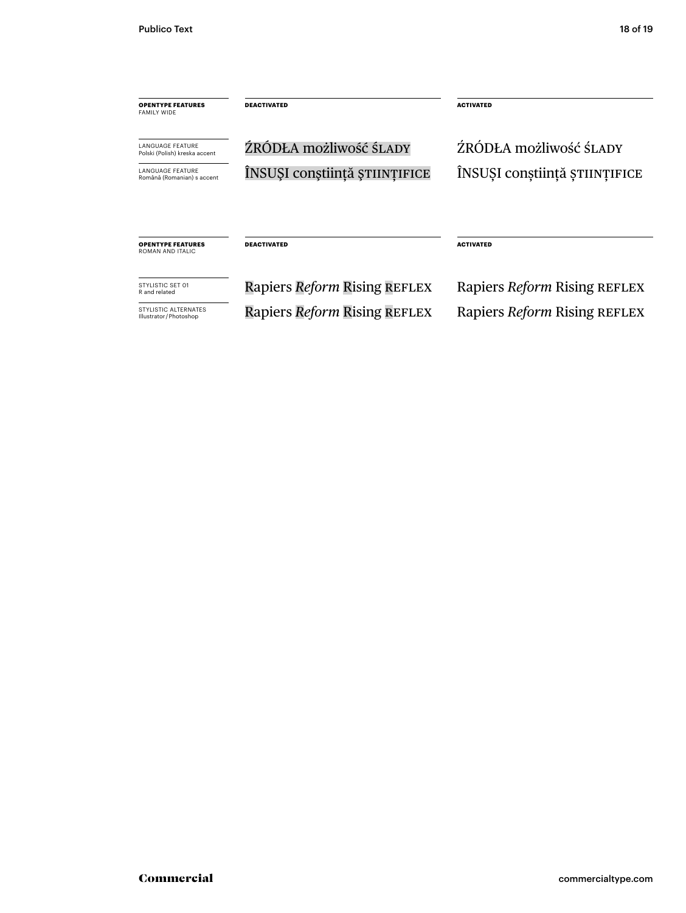| <b>OPENTYPE FEATURES</b><br><b>FAMILY WIDE</b>           | <b>DEACTIVATED</b>            | <b>ACTIVATED</b>              |
|----------------------------------------------------------|-------------------------------|-------------------------------|
| <b>LANGUAGE FEATURE</b><br>Polski (Polish) kreska accent | ŹRÓDŁA możliwość ŚLADY        | ŹRÓDŁA możliwość śLADY        |
| <b>LANGUAGE FEATURE</b><br>Română (Romanian) s accent    | ÎNSUȘI conștiință științifice | ÎNSUȘI conștiință științifice |
|                                                          |                               |                               |
| <b>OPENTYPE FEATURES</b><br>ROMAN AND ITALIC             | <b>DEACTIVATED</b>            | <b>ACTIVATED</b>              |
| STYLISTIC SFT 01<br>R and related                        | Rapiers Reform Rising REFLEX  | Rapiers Reform Rising REFLEX  |
| STYLISTIC ALTERNATES<br>Illustrator / Photoshop          | Rapiers Reform Rising REFLEX  | Rapiers Reform Rising REFLEX  |